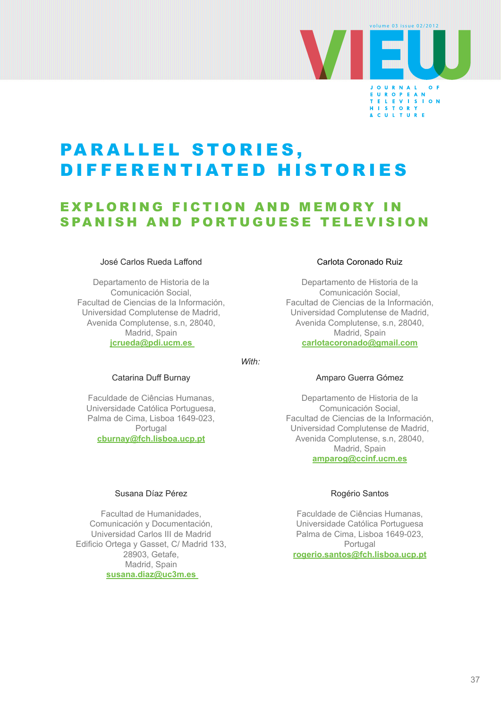

# PARALLEL STORIES, DIFFERENTIATED HISTORIES

## **EXPLORING FICTION AND MEMORY IN** SPANISH AND PORTUGUESE TELEVISION

#### José Carlos Rueda Laffond

Departamento de Historia de la Comunicación Social, Facultad de Ciencias de la Información, Universidad Complutense de Madrid, Avenida Complutense, s.n, 28040, Madrid, Spain **[jcrueda@pdi.ucm.es](mailto:jcrueda@pdi.ucm.es)** 

*With:*

#### Catarina Duff Burnay

Faculdade de Ciências Humanas, Universidade Católica Portuguesa, Palma de Cima, Lisboa 1649-023, Portugal **[cburnay@fch.lisboa.ucp.pt](mailto:cburnay@fch.lisboa.ucp.pt)**

#### Carlota Coronado Ruiz

Departamento de Historia de la Comunicación Social, Facultad de Ciencias de la Información, Universidad Complutense de Madrid, Avenida Complutense, s.n, 28040, Madrid, Spain **[carlotacoronado@gmail.com](mailto:carlotacoronado@gmail.com)**

## Amparo Guerra Gómez

Departamento de Historia de la Comunicación Social, Facultad de Ciencias de la Información, Universidad Complutense de Madrid, Avenida Complutense, s.n, 28040, Madrid, Spain **[amparog@ccinf.ucm.es](mailto:amparog@ccinf.ucm.es)**

#### Susana Díaz Pérez

Facultad de Humanidades, Comunicación y Documentación, Universidad Carlos III de Madrid Edificio Ortega y Gasset, C/ Madrid 133, 28903, Getafe, Madrid, Spain **[susana.diaz@uc3m.es](mailto:susana.diaz@uc3m.es)** 

#### Rogério Santos

Faculdade de Ciências Humanas, Universidade Católica Portuguesa Palma de Cima, Lisboa 1649-023, Portugal **[rogerio.santos@fch.lisboa.ucp.pt](mailto:rogerio.santos@fch.lisboa.ucp.pt)**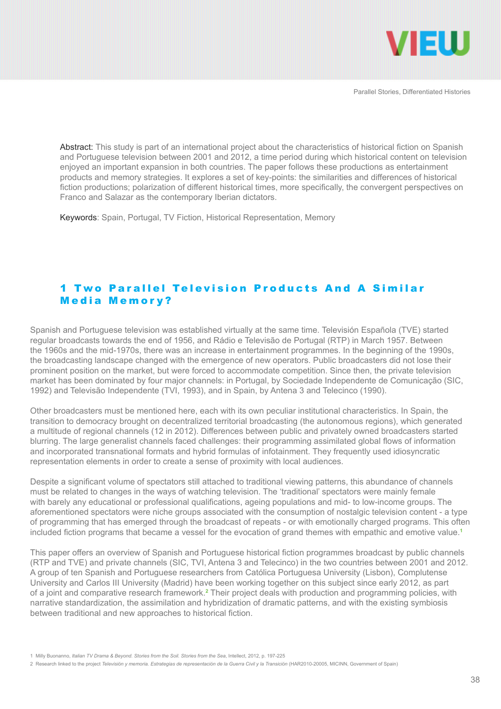

Abstract: This study is part of an international project about the characteristics of historical fiction on Spanish and Portuguese television between 2001 and 2012, a time period during which historical content on television enjoyed an important expansion in both countries. The paper follows these productions as entertainment products and memory strategies. It explores a set of key-points: the similarities and differences of historical fiction productions; polarization of different historical times, more specifically, the convergent perspectives on Franco and Salazar as the contemporary Iberian dictators.

Keywords: Spain, Portugal, TV Fiction, Historical Representation, Memory

## 1 Two Parallel Television Products And A Similar Media Memory?

Spanish and Portuguese television was established virtually at the same time. Televisión Española (TVE) started regular broadcasts towards the end of 1956, and Rádio e Televisão de Portugal (RTP) in March 1957. Between the 1960s and the mid-1970s, there was an increase in entertainment programmes. In the beginning of the 1990s, the broadcasting landscape changed with the emergence of new operators. Public broadcasters did not lose their prominent position on the market, but were forced to accommodate competition. Since then, the private television market has been dominated by four major channels: in Portugal, by Sociedade Independente de Comunicação (SIC, 1992) and Televisão Independente (TVI, 1993), and in Spain, by Antena 3 and Telecinco (1990).

Other broadcasters must be mentioned here, each with its own peculiar institutional characteristics. In Spain, the transition to democracy brought on decentralized territorial broadcasting (the autonomous regions), which generated a multitude of regional channels (12 in 2012). Differences between public and privately owned broadcasters started blurring. The large generalist channels faced challenges: their programming assimilated global flows of information and incorporated transnational formats and hybrid formulas of infotainment. They frequently used idiosyncratic representation elements in order to create a sense of proximity with local audiences.

Despite a significant volume of spectators still attached to traditional viewing patterns, this abundance of channels must be related to changes in the ways of watching television. The 'traditional' spectators were mainly female with barely any educational or professional qualifications, ageing populations and mid- to low-income groups. The aforementioned spectators were niche groups associated with the consumption of nostalgic television content - a type of programming that has emerged through the broadcast of repeats - or with emotionally charged programs. This often included fiction programs that became a vessel for the evocation of grand themes with empathic and emotive value.**<sup>1</sup>**

This paper offers an overview of Spanish and Portuguese historical fiction programmes broadcast by public channels (RTP and TVE) and private channels (SIC, TVI, Antena 3 and Telecinco) in the two countries between 2001 and 2012. A group of ten Spanish and Portuguese researchers from Católica Portuguesa University (Lisbon), Complutense University and Carlos III University (Madrid) have been working together on this subject since early 2012, as part of a joint and comparative research framework.**<sup>2</sup>** Their project deals with production and programming policies, with narrative standardization, the assimilation and hybridization of dramatic patterns, and with the existing symbiosis between traditional and new approaches to historical fiction.

<sup>1</sup> Milly Buonanno, *Italian TV Drama & Beyond. Stories from the Soil. Stories from the Sea*, Intellect, 2012, p. 197-225

<sup>2</sup> Research linked to the project *Televisión y memoria. Estrategias de representación de la Guerra Civil y la Transición* (HAR2010-20005, MICINN, Government of Spain)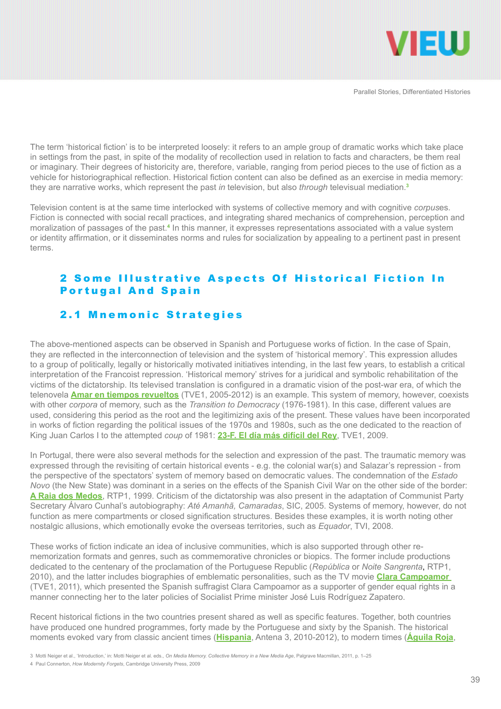

The term 'historical fiction' is to be interpreted loosely: it refers to an ample group of dramatic works which take place in settings from the past, in spite of the modality of recollection used in relation to facts and characters, be them real or imaginary. Their degrees of historicity are, therefore, variable, ranging from period pieces to the use of fiction as a vehicle for historiographical reflection. Historical fiction content can also be defined as an exercise in media memory: they are narrative works, which represent the past *in* television, but also *through* televisual mediation.**<sup>3</sup>**

Television content is at the same time interlocked with systems of collective memory and with cognitive *corpus*es. Fiction is connected with social recall practices, and integrating shared mechanics of comprehension, perception and moralization of passages of the past.<sup>4</sup> In this manner, it expresses representations associated with a value system or identity affirmation, or it disseminates norms and rules for socialization by appealing to a pertinent past in present terms.

### 2 Some Illustrative Aspects Of Historical Fiction In **Portugal And Spain**

#### 2.1 Mnemonic Strategies

The above-mentioned aspects can be observed in Spanish and Portuguese works of fiction. In the case of Spain, they are reflected in the interconnection of television and the system of 'historical memory'. This expression alludes to a group of politically, legally or historically motivated initiatives intending, in the last few years, to establish a critical interpretation of the Francoist repression. 'Historical memory' strives for a juridical and symbolic rehabilitation of the victims of the dictatorship. Its televised translation is configured in a dramatic vision of the post-war era, of which the telenovela **[Amar en tiempos revueltos](http://www.rtve.es/television/amar/capitulos-completos/)** (TVE1, 2005-2012) is an example. This system of memory, however, coexists with other *corpora* of memory, such as the *Transition to Democracy* (1976-1981). In this case, different values are used, considering this period as the root and the legitimizing axis of the present. These values have been incorporated in works of fiction regarding the political issues of the 1970s and 1980s, such as the one dedicated to the reaction of King Juan Carlos I to the attempted *coup* of 1981: **[23-F. El día más difícil del Rey](http://www.rtve.es/television/23f-golpe-estado/)**, TVE1, 2009.

In Portugal, there were also several methods for the selection and expression of the past. The traumatic memory was expressed through the revisiting of certain historical events - e.g. the colonial war(s) and Salazar's repression - from the perspective of the spectators' system of memory based on democratic values. The condemnation of the *Estado Novo* (the New State) was dominant in a series on the effects of the Spanish Civil War on the other side of the border: **[A Raia dos Medos](http://www.rtp.pt/programa/tv/p2150)**, RTP1, 1999. Criticism of the dictatorship was also present in the adaptation of Communist Party Secretary Álvaro Cunhal's autobiography: *Até Amanhã, Camaradas*, SIC, 2005. Systems of memory, however, do not function as mere compartments or closed signification structures. Besides these examples, it is worth noting other nostalgic allusions, which emotionally evoke the overseas territories, such as *Equador*, TVI, 2008.

These works of fiction indicate an idea of inclusive communities, which is also supported through other rememorization formats and genres, such as commemorative chronicles or biopics. The former include productions dedicated to the centenary of the proclamation of the Portuguese Republic (*República* or *Noite Sangrenta*, RTP1, 2010), and the latter includes biographies of emblematic personalities, such as the TV movie **[Clara Campoamor](http://www.rtve.es/alacarta/videos/clara-campoamor-la-mujer-olvidada/clara-campoamor-mujer-olvidada/1041185/)**  (TVE1, 2011), which presented the Spanish suffragist Clara Campoamor as a supporter of gender equal rights in a manner connecting her to the later policies of Socialist Prime minister José Luis Rodríguez Zapatero.

Recent historical fictions in the two countries present shared as well as specific features. Together, both countries have produced one hundred programmes, forty made by the Portuguese and sixty by the Spanish. The historical moments evoked vary from classic ancient times (**[Hispania](http://www.antena3.com/series/hispania/)**, Antena 3, 2010-2012), to modern times (**[Águila Roja](http://www.rtve.es/television/aguila-roja/)**,

<sup>3</sup> Motti Neiger et al., 'Introduction,' in: Motti Neiger et al. eds., *On Media Memory. Collective Memory in a New Media Age*, Palgrave Macmillan, 2011, p. 1–25

<sup>4</sup> Paul Connerton, *How Modernity Forgets*, Cambridge University Press, 2009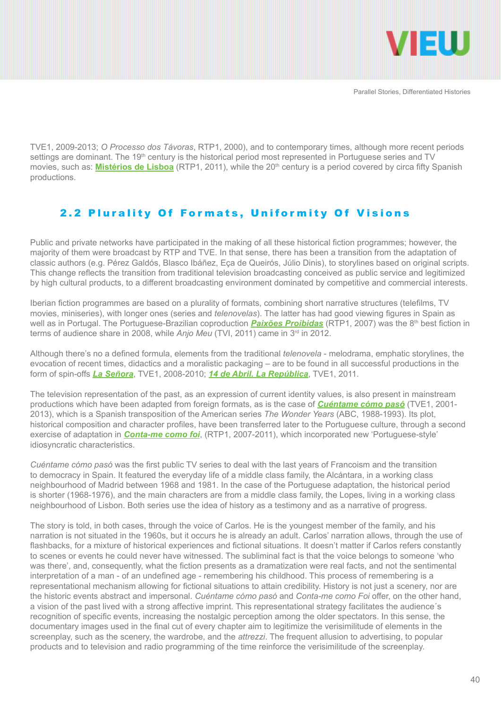

TVE1, 2009-2013; *O Processo dos Távoras*, RTP1, 2000), and to contemporary times, although more recent periods settings are dominant. The 19<sup>th</sup> century is the historical period most represented in Portuguese series and TV movies, such as: **[Mistérios de Lisboa](http://www.rtp.pt/programa/tv/p27391)** (RTP1, 2011), while the 20<sup>th</sup> century is a period covered by circa fifty Spanish productions.

## 2.2 Plurality Of Formats, Uniformity Of Visions

Public and private networks have participated in the making of all these historical fiction programmes; however, the majority of them were broadcast by RTP and TVE. In that sense, there has been a transition from the adaptation of classic authors (e.g. Pérez Galdós, Blasco Ibáñez, Eça de Queirós, Júlio Dinis), to storylines based on original scripts. This change reflects the transition from traditional television broadcasting conceived as public service and legitimized by high cultural products, to a different broadcasting environment dominated by competitive and commercial interests.

Iberian fiction programmes are based on a plurality of formats, combining short narrative structures (telefilms, TV movies, miniseries), with longer ones (series and *telenovelas*). The latter has had good viewing figures in Spain as well as in Portugal. The Portuguese-Brazilian coproduction **[Paixões Proibidas](http://www.centraldetelenovelas.com/2010/10/pasiones-prohibidas-paixoes-proibidas.html)** (RTP1, 2007) was the 8<sup>th</sup> best fiction in terms of audience share in 2008, while *Anjo Meu* (TVI, 2011) came in 3<sup>rd</sup> in 2012.

Although there's no a defined formula, elements from the traditional *telenovela* - melodrama, emphatic storylines, the evocation of recent times, didactics and a moralistic packaging – are to be found in all successful productions in the form of spin-offs *[La Señora](http://www.rtve.es/television/la-senora/)*, TVE1, 2008-2010; *[14 de Abril. La República](http://www.rtve.es/television/14-de-abril-la-republica/)*, TVE1, 2011.

The television representation of the past, as an expression of current identity values, is also present in mainstream productions which have been adapted from foreign formats, as is the case of *[Cuéntame cómo pasó](http://www.rtve.es/television/cuentame/)* (TVE1, 2001- 2013), which is a Spanish transposition of the American series *The Wonder Years* (ABC, 1988-1993). Its plot, historical composition and character profiles, have been transferred later to the Portuguese culture, through a second exercise of adaptation in *[Conta-me como foi](http://www.rtp.pt/wportal/sites/tv/conta_me/)*, (RTP1, 2007-2011), which incorporated new 'Portuguese-style' idiosyncratic characteristics.

*Cuéntame cómo pasó* was the first public TV series to deal with the last years of Francoism and the transition to democracy in Spain. It featured the everyday life of a middle class family, the Alcántara, in a working class neighbourhood of Madrid between 1968 and 1981. In the case of the Portuguese adaptation, the historical period is shorter (1968-1976), and the main characters are from a middle class family, the Lopes, living in a working class neighbourhood of Lisbon. Both series use the idea of history as a testimony and as a narrative of progress.

The story is told, in both cases, through the voice of Carlos. He is the youngest member of the family, and his narration is not situated in the 1960s, but it occurs he is already an adult. Carlos' narration allows, through the use of flashbacks, for a mixture of historical experiences and fictional situations. It doesn't matter if Carlos refers constantly to scenes or events he could never have witnessed. The subliminal fact is that the voice belongs to someone 'who was there', and, consequently, what the fiction presents as a dramatization were real facts, and not the sentimental interpretation of a man - of an undefined age - remembering his childhood. This process of remembering is a representational mechanism allowing for fictional situations to attain credibility. History is not just a scenery, nor are the historic events abstract and impersonal. *Cuéntame cómo pasó* and *Conta-me como Foi* offer, on the other hand, a vision of the past lived with a strong affective imprint. This representational strategy facilitates the audience´s recognition of specific events, increasing the nostalgic perception among the older spectators. In this sense, the documentary images used in the final cut of every chapter aim to legitimize the verisimilitude of elements in the screenplay, such as the scenery, the wardrobe, and the *attrezzi*. The frequent allusion to advertising, to popular products and to television and radio programming of the time reinforce the verisimilitude of the screenplay.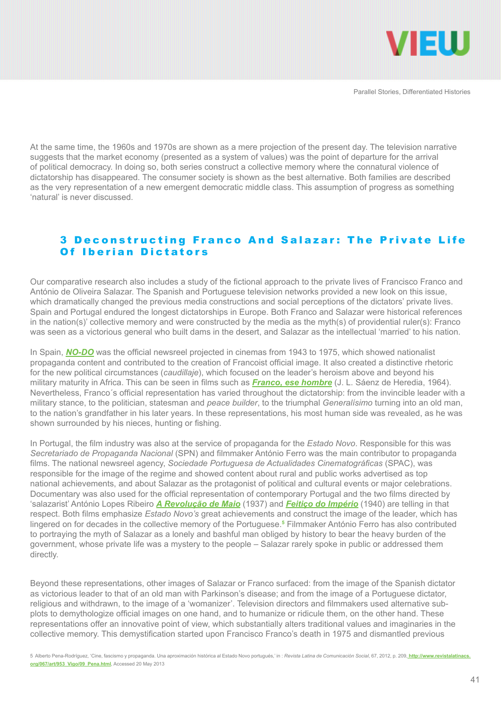

At the same time, the 1960s and 1970s are shown as a mere projection of the present day. The television narrative suggests that the market economy (presented as a system of values) was the point of departure for the arrival of political democracy. In doing so, both series construct a collective memory where the connatural violence of dictatorship has disappeared. The consumer society is shown as the best alternative. Both families are described as the very representation of a new emergent democratic middle class. This assumption of progress as something 'natural' is never discussed.

#### 3 Deconstructing Franco And Salazar: The Private Life Of Iberian Dictators

Our comparative research also includes a study of the fictional approach to the private lives of Francisco Franco and António de Oliveira Salazar. The Spanish and Portuguese television networks provided a new look on this issue, which dramatically changed the previous media constructions and social perceptions of the dictators' private lives. Spain and Portugal endured the longest dictatorships in Europe. Both Franco and Salazar were historical references in the nation(s)' collective memory and were constructed by the media as the myth(s) of providential ruler(s): Franco was seen as a victorious general who built dams in the desert, and Salazar as the intellectual 'married' to his nation.

In Spain, *[NO-DO](https://www.youtube.com/watch%3Fv%3Dpaojx7PMG10)* was the official newsreel projected in cinemas from 1943 to 1975, which showed nationalist propaganda content and contributed to the creation of Francoist official image. It also created a distinctive rhetoric for the new political circumstances (*caudillaje*), which focused on the leader's heroism above and beyond his military maturity in Africa. This can be seen in films such as *[Franco, ese hombre](https://www.youtube.com/watch%3Fv%3DRPEIPkdJeoA)* (J. L. Sáenz de Heredia, 1964). Nevertheless, Franco´s official representation has varied throughout the dictatorship: from the invincible leader with a military stance, to the politician, statesman and *peace builder*, to the triumphal *Generalísimo* turning into an old man, to the nation's grandfather in his later years. In these representations, his most human side was revealed, as he was shown surrounded by his nieces, hunting or fishing.

In Portugal, the film industry was also at the service of propaganda for the *Estado Novo*. Responsible for this was *Secretariado de Propaganda Nacional* (SPN) and filmmaker António Ferro was the main contributor to propaganda films. The national newsreel agency, *Sociedade Portuguesa de Actualidades Cinematográficas* (SPAC), was responsible for the image of the regime and showed content about rural and public works advertised as top national achievements, and about Salazar as the protagonist of political and cultural events or major celebrations. Documentary was also used for the official representation of contemporary Portugal and the two films directed by 'salazarist' António Lopes Ribeiro *[A Revolução de Maio](https://www.youtube.com/watch%3Fv%3DdZSYnkx_Czk)* (1937) and *[Feitiço do Império](https://www.youtube.com/watch%3Fv%3DKL_YS-P-oZI)* (1940) are telling in that respect. Both films emphasize *Estado Novo's* great achievements and construct the image of the leader, which has lingered on for decades in the collective memory of the Portuguese.**<sup>5</sup>** Filmmaker António Ferro has also contributed to portraying the myth of Salazar as a lonely and bashful man obliged by history to bear the heavy burden of the government, whose private life was a mystery to the people – Salazar rarely spoke in public or addressed them directly.

Beyond these representations, other images of Salazar or Franco surfaced: from the image of the Spanish dictator as victorious leader to that of an old man with Parkinson's disease; and from the image of a Portuguese dictator, religious and withdrawn, to the image of a 'womanizer'. Television directors and filmmakers used alternative subplots to demythologize official images on one hand, and to humanize or ridicule them, on the other hand. These representations offer an innovative point of view, which substantially alters traditional values and imaginaries in the collective memory. This demystification started upon Francisco Franco's death in 1975 and dismantled previous

5 Alberto Pena-Rodríguez, 'Cine, fascismo y propaganda. Una aproximación histórica al Estado Novo portugués,' in : *Revista Latina de Comunicación Social*, 67, 2012, p. 209, **[http://www.revistalatinacs.](http://www.revistalatinacs.org/067/art/953_vigo/09_pena.html) [org/067/art/953\\_Vigo/09\\_Pena.html](http://www.revistalatinacs.org/067/art/953_vigo/09_pena.html)**, Accessed 20 May 2013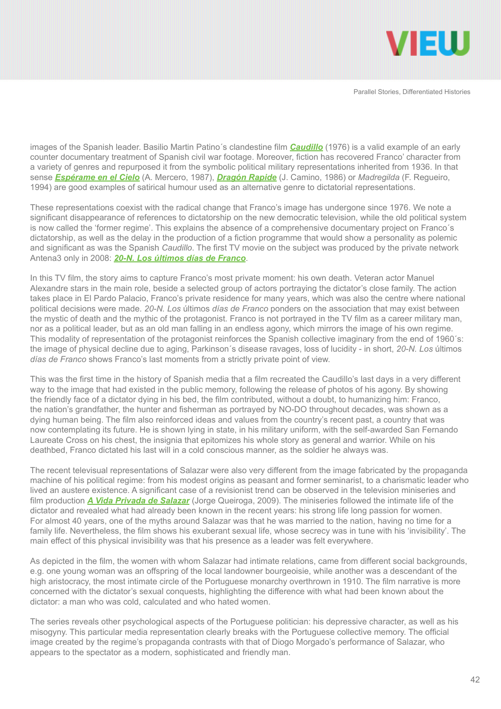

images of the Spanish leader. Basilio Martin Patino´s clandestine film *[Caudillo](https://www.youtube.com/watch%3Fv%3DY8dZWwPmiMg%26feature%3Drelmfu)* (1976) is a valid example of an early counter documentary treatment of Spanish civil war footage. Moreover, fiction has recovered Franco' character from a variety of genres and repurposed it from the symbolic political military representations inherited from 1936. In that sense *[Espérame en el Cielo](https://www.youtube.com/watch%3Fv%3DLuybAilUy_Y)* (A. Mercero, 1987), *[Dragón Rapide](https://www.youtube.com/watch%3Fv%3DBTTmfGYKpes)* (J. Camino, 1986) or *Madregilda* (F. Regueiro, 1994) are good examples of satirical humour used as an alternative genre to dictatorial representations.

These representations coexist with the radical change that Franco's image has undergone since 1976. We note a significant disappearance of references to dictatorship on the new democratic television, while the old political system is now called the 'former regime'. This explains the absence of a comprehensive documentary project on Franco´s dictatorship, as well as the delay in the production of a fiction programme that would show a personality as polemic and significant as was the Spanish *Caudillo*. The first TV movie on the subject was produced by the private network Antena3 only in 2008: *[20-N. Los últimos días de Franco](https://www.youtube.com/watch%3Fv%3D6P16kgBB8jo)*.

In this TV film, the story aims to capture Franco's most private moment: his own death. Veteran actor Manuel Alexandre stars in the main role, beside a selected group of actors portraying the dictator's close family. The action takes place in El Pardo Palacio, Franco's private residence for many years, which was also the centre where national political decisions were made. *20-N. Los* últimos *días de Franco* ponders on the association that may exist between the mystic of death and the mythic of the protagonist. Franco is not portrayed in the TV film as a career military man, nor as a political leader, but as an old man falling in an endless agony, which mirrors the image of his own regime. This modality of representation of the protagonist reinforces the Spanish collective imaginary from the end of 1960´s: the image of physical decline due to aging, Parkinson´s disease ravages, loss of lucidity - in short, *20-N. Los* últimos *días de Franco* shows Franco's last moments from a strictly private point of view.

This was the first time in the history of Spanish media that a film recreated the Caudillo's last days in a very different way to the image that had existed in the public memory, following the release of photos of his agony. By showing the friendly face of a dictator dying in his bed, the film contributed, without a doubt, to humanizing him: Franco, the nation's grandfather, the hunter and fisherman as portrayed by NO-DO throughout decades, was shown as a dying human being. The film also reinforced ideas and values from the country's recent past, a country that was now contemplating its future. He is shown lying in state, in his military uniform, with the self-awarded San Fernando Laureate Cross on his chest, the insignia that epitomizes his whole story as general and warrior. While on his deathbed, Franco dictated his last will in a cold conscious manner, as the soldier he always was.

The recent televisual representations of Salazar were also very different from the image fabricated by the propaganda machine of his political regime: from his modest origins as peasant and former seminarist, to a charismatic leader who lived an austere existence. A significant case of a revisionist trend can be observed in the television miniseries and film production *[A Vida Privada de Salazar](https://www.youtube.com/watch%3Fv%3D1hSmZWxdiQ0)* (Jorge Queiroga, 2009). The miniseries followed the intimate life of the dictator and revealed what had already been known in the recent years: his strong life long passion for women. For almost 40 years, one of the myths around Salazar was that he was married to the nation, having no time for a family life. Nevertheless, the film shows his exuberant sexual life, whose secrecy was in tune with his 'invisibility'. The main effect of this physical invisibility was that his presence as a leader was felt everywhere.

As depicted in the film, the women with whom Salazar had intimate relations, came from different social backgrounds, e.g. one young woman was an offspring of the local landowner bourgeoisie, while another was a descendant of the high aristocracy, the most intimate circle of the Portuguese monarchy overthrown in 1910. The film narrative is more concerned with the dictator's sexual conquests, highlighting the difference with what had been known about the dictator: a man who was cold, calculated and who hated women.

The series reveals other psychological aspects of the Portuguese politician: his depressive character, as well as his misogyny. This particular media representation clearly breaks with the Portuguese collective memory. The official image created by the regime's propaganda contrasts with that of Diogo Morgado's performance of Salazar, who appears to the spectator as a modern, sophisticated and friendly man.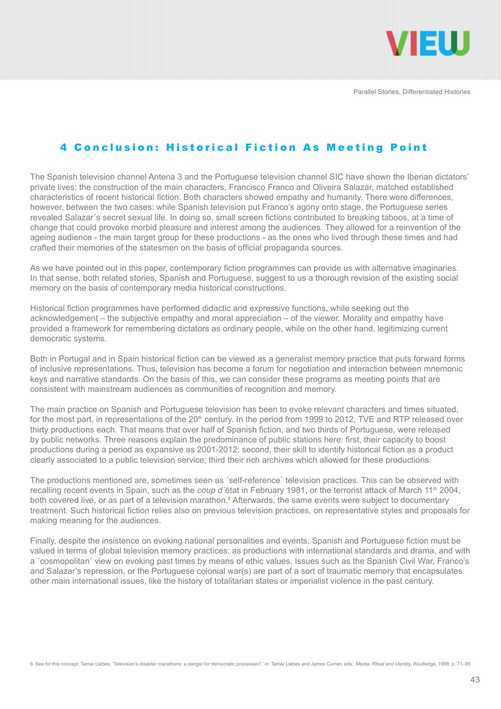

## 4 Conclusion: Historical Fiction As Meeting Point

The Spanish television channel Antena 3 and the Portuguese television channel SIC have shown the Iberian dictators' private lives: the construction of the main characters, Francisco Franco and Oliveira Salazar, matched established characteristics of recent historical fiction. Both characters showed empathy and humanity. There were differences, however, between the two cases: while Spanish television put Franco's agony onto stage, the Portuguese series revealed Salazar´s secret sexual life. In doing so, small screen fictions contributed to breaking taboos, at a time of change that could provoke morbid pleasure and interest among the audiences. They allowed for a reinvention of the ageing audience - the main target group for these productions - as the ones who lived through these times and had crafted their memories of the statesmen on the basis of official propaganda sources.

As we have pointed out in this paper, contemporary fiction programmes can provide us with alternative imaginaries. In that sense, both related stories, Spanish and Portuguese, suggest to us a thorough revision of the existing social memory on the basis of contemporary media historical constructions.

Historical fiction programmes have performed didactic and expressive functions, while seeking out the acknowledgement – the subjective empathy and moral appreciation – of the viewer. Morality and empathy have provided a framework for remembering dictators as ordinary people, while on the other hand, legitimizing current democratic systems.

Both in Portugal and in Spain historical fiction can be viewed as a generalist memory practice that puts forward forms of inclusive representations. Thus, television has become a forum for negotiation and interaction between mnemonic keys and narrative standards. On the basis of this, we can consider these programs as meeting points that are consistent with mainstream audiences as communities of recognition and memory.

The main practice on Spanish and Portuguese television has been to evoke relevant characters and times situated, for the most part, in representations of the 20<sup>th</sup> century. In the period from 1999 to 2012, TVE and RTP released over thirty productions each. That means that over half of Spanish fiction, and two thirds of Portuguese, were released by public networks. Three reasons explain the predominance of public stations here: first, their capacity to boost productions during a period as expansive as 2001-2012; second, their skill to identify historical fiction as a product clearly associated to a public television service; third their rich archives which allowed for these productions.

The productions mentioned are, sometimes seen as ´self-reference` television practices. This can be observed with recalling recent events in Spain, such as the *coup d'état* in February 1981, or the terrorist attack of March 11<sup>th</sup> 2004, both covered live, or as part of a television marathon.<sup>6</sup> Afterwards, the same events were subject to documentary treatment. Such historical fiction relies also on previous television practices, on representative styles and proposals for making meaning for the audiences.

Finally, despite the insistence on evoking national personalities and events, Spanish and Portuguese fiction must be valued in terms of global television memory practices: as productions with international standards and drama, and with a ´cosmopolitan´ view on evoking past times by means of ethic values. Issues such as the Spanish Civil War, Franco's and Salazar's repression, or the Portuguese colonial war(s) are part of a sort of traumatic memory that encapsulates other main international issues, like the history of totalitarian states or imperialist violence in the past century.